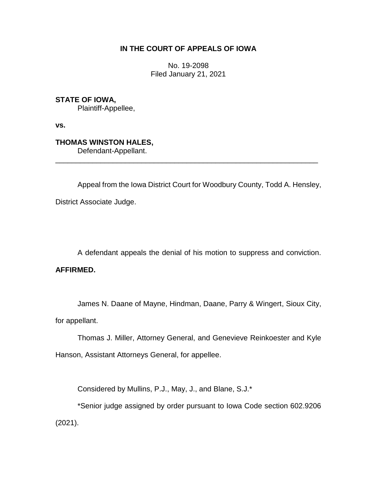# **IN THE COURT OF APPEALS OF IOWA**

No. 19-2098 Filed January 21, 2021

**STATE OF IOWA,**

Plaintiff-Appellee,

**vs.**

**THOMAS WINSTON HALES,**

Defendant-Appellant. \_\_\_\_\_\_\_\_\_\_\_\_\_\_\_\_\_\_\_\_\_\_\_\_\_\_\_\_\_\_\_\_\_\_\_\_\_\_\_\_\_\_\_\_\_\_\_\_\_\_\_\_\_\_\_\_\_\_\_\_\_\_\_\_

Appeal from the Iowa District Court for Woodbury County, Todd A. Hensley, District Associate Judge.

A defendant appeals the denial of his motion to suppress and conviction. **AFFIRMED.**

James N. Daane of Mayne, Hindman, Daane, Parry & Wingert, Sioux City, for appellant.

Thomas J. Miller, Attorney General, and Genevieve Reinkoester and Kyle Hanson, Assistant Attorneys General, for appellee.

Considered by Mullins, P.J., May, J., and Blane, S.J.\*

\*Senior judge assigned by order pursuant to Iowa Code section 602.9206 (2021).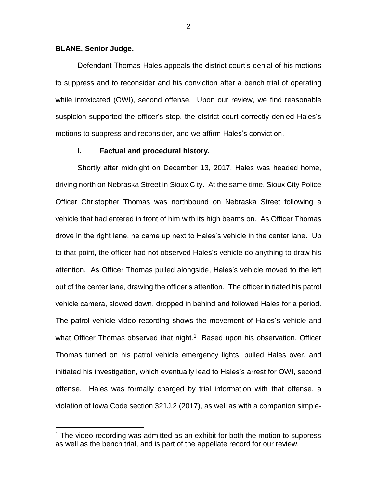#### **BLANE, Senior Judge.**

 $\overline{a}$ 

Defendant Thomas Hales appeals the district court's denial of his motions to suppress and to reconsider and his conviction after a bench trial of operating while intoxicated (OWI), second offense. Upon our review, we find reasonable suspicion supported the officer's stop, the district court correctly denied Hales's motions to suppress and reconsider, and we affirm Hales's conviction.

## **I. Factual and procedural history.**

Shortly after midnight on December 13, 2017, Hales was headed home, driving north on Nebraska Street in Sioux City. At the same time, Sioux City Police Officer Christopher Thomas was northbound on Nebraska Street following a vehicle that had entered in front of him with its high beams on. As Officer Thomas drove in the right lane, he came up next to Hales's vehicle in the center lane. Up to that point, the officer had not observed Hales's vehicle do anything to draw his attention. As Officer Thomas pulled alongside, Hales's vehicle moved to the left out of the center lane, drawing the officer's attention. The officer initiated his patrol vehicle camera, slowed down, dropped in behind and followed Hales for a period. The patrol vehicle video recording shows the movement of Hales's vehicle and what Officer Thomas observed that night.<sup>1</sup> Based upon his observation, Officer Thomas turned on his patrol vehicle emergency lights, pulled Hales over, and initiated his investigation, which eventually lead to Hales's arrest for OWI, second offense. Hales was formally charged by trial information with that offense, a violation of Iowa Code section 321J.2 (2017), as well as with a companion simple-

 $1$  The video recording was admitted as an exhibit for both the motion to suppress as well as the bench trial, and is part of the appellate record for our review.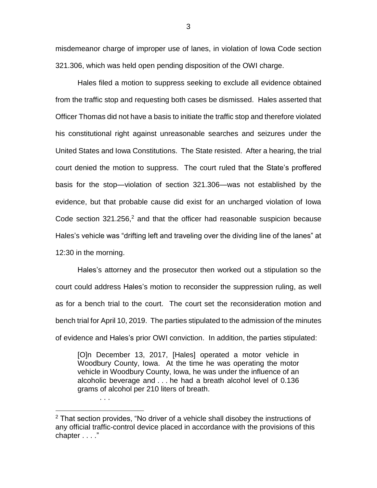misdemeanor charge of improper use of lanes, in violation of Iowa Code section 321.306, which was held open pending disposition of the OWI charge.

Hales filed a motion to suppress seeking to exclude all evidence obtained from the traffic stop and requesting both cases be dismissed. Hales asserted that Officer Thomas did not have a basis to initiate the traffic stop and therefore violated his constitutional right against unreasonable searches and seizures under the United States and Iowa Constitutions. The State resisted. After a hearing, the trial court denied the motion to suppress. The court ruled that the State's proffered basis for the stop—violation of section 321.306—was not established by the evidence, but that probable cause did exist for an uncharged violation of Iowa Code section  $321.256$ <sup>2</sup> and that the officer had reasonable suspicion because Hales's vehicle was "drifting left and traveling over the dividing line of the lanes" at 12:30 in the morning.

Hales's attorney and the prosecutor then worked out a stipulation so the court could address Hales's motion to reconsider the suppression ruling, as well as for a bench trial to the court. The court set the reconsideration motion and bench trial for April 10, 2019. The parties stipulated to the admission of the minutes of evidence and Hales's prior OWI conviction. In addition, the parties stipulated:

[O]n December 13, 2017, [Hales] operated a motor vehicle in Woodbury County, Iowa. At the time he was operating the motor vehicle in Woodbury County, Iowa, he was under the influence of an alcoholic beverage and . . . he had a breath alcohol level of 0.136 grams of alcohol per 210 liters of breath.

. . .

 $\overline{a}$ 

 $2$  That section provides, "No driver of a vehicle shall disobey the instructions of any official traffic-control device placed in accordance with the provisions of this chapter . . . ."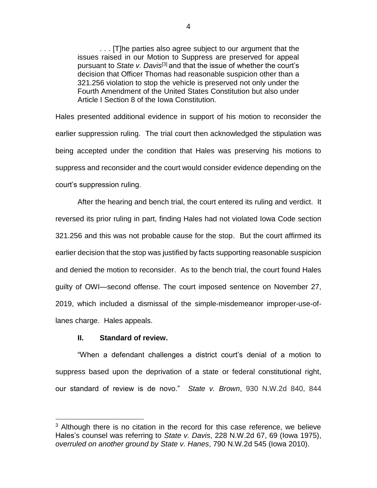. . . [T]he parties also agree subject to our argument that the issues raised in our Motion to Suppress are preserved for appeal pursuant to *State v. Davis*[3] and that the issue of whether the court's decision that Officer Thomas had reasonable suspicion other than a 321.256 violation to stop the vehicle is preserved not only under the Fourth Amendment of the United States Constitution but also under Article I Section 8 of the Iowa Constitution.

Hales presented additional evidence in support of his motion to reconsider the earlier suppression ruling. The trial court then acknowledged the stipulation was being accepted under the condition that Hales was preserving his motions to suppress and reconsider and the court would consider evidence depending on the court's suppression ruling.

After the hearing and bench trial, the court entered its ruling and verdict. It reversed its prior ruling in part, finding Hales had not violated Iowa Code section 321.256 and this was not probable cause for the stop. But the court affirmed its earlier decision that the stop was justified by facts supporting reasonable suspicion and denied the motion to reconsider. As to the bench trial, the court found Hales guilty of OWI—second offense. The court imposed sentence on November 27, 2019, which included a dismissal of the simple-misdemeanor improper-use-oflanes charge. Hales appeals.

## **II. Standard of review.**

 $\overline{a}$ 

"When a defendant challenges a district court's denial of a motion to suppress based upon the deprivation of a state or federal constitutional right, our standard of review is de novo." *State v. Brown*, 930 N.W.2d 840, 844

 $3$  Although there is no citation in the record for this case reference, we believe Hales's counsel was referring to *State v. Davis*, 228 N.W.2d 67, 69 (Iowa 1975), *overruled on another ground by State v. Hanes*, 790 N.W.2d 545 (Iowa 2010).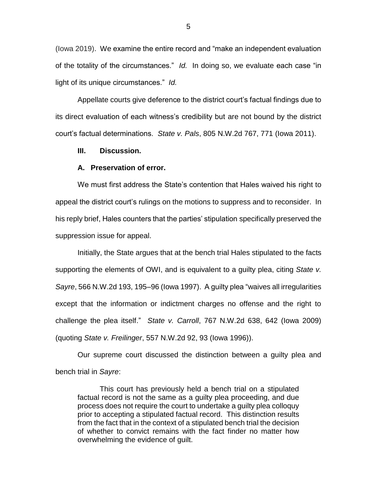(Iowa 2019). We examine the entire record and "make an independent evaluation of the totality of the circumstances." *Id.* In doing so, we evaluate each case "in light of its unique circumstances." *Id.*

Appellate courts give deference to the district court's factual findings due to its direct evaluation of each witness's credibility but are not bound by the district court's factual determinations. *State v. Pals*, 805 N.W.2d 767, 771 (Iowa 2011).

## **III. Discussion.**

#### **A. Preservation of error.**

We must first address the State's contention that Hales waived his right to appeal the district court's rulings on the motions to suppress and to reconsider. In his reply brief, Hales counters that the parties' stipulation specifically preserved the suppression issue for appeal.

Initially, the State argues that at the bench trial Hales stipulated to the facts supporting the elements of OWI, and is equivalent to a guilty plea, citing *State v. Sayre*, 566 N.W.2d 193, 195–96 (Iowa 1997). A guilty plea "waives all irregularities except that the information or indictment charges no offense and the right to challenge the plea itself." *State v. Carroll*, 767 N.W.2d 638, 642 (Iowa 2009) (quoting *State v. Freilinger*, 557 N.W.2d 92, 93 (Iowa 1996)).

Our supreme court discussed the distinction between a guilty plea and bench trial in *Sayre*:

This court has previously held a bench trial on a stipulated factual record is not the same as a guilty plea proceeding, and due process does not require the court to undertake a guilty plea colloquy prior to accepting a stipulated factual record. This distinction results from the fact that in the context of a stipulated bench trial the decision of whether to convict remains with the fact finder no matter how overwhelming the evidence of guilt.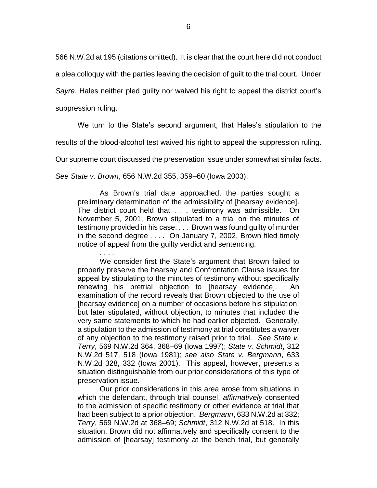566 N.W.2d at 195 (citations omitted). It is clear that the court here did not conduct

a plea colloquy with the parties leaving the decision of guilt to the trial court. Under

*Sayre*, Hales neither pled guilty nor waived his right to appeal the district court's

suppression ruling.

We turn to the State's second argument, that Hales's stipulation to the

results of the blood-alcohol test waived his right to appeal the suppression ruling.

Our supreme court discussed the preservation issue under somewhat similar facts.

*See State v. Brown*, 656 N.W.2d 355, 359–60 (Iowa 2003).

As Brown's trial date approached, the parties sought a preliminary determination of the admissibility of [hearsay evidence]. The district court held that . . . testimony was admissible. On November 5, 2001, Brown stipulated to a trial on the minutes of testimony provided in his case. . . . Brown was found guilty of murder in the second degree . . . . On January 7, 2002, Brown filed timely notice of appeal from the guilty verdict and sentencing.

. . . . We consider first the State's argument that Brown failed to properly preserve the hearsay and Confrontation Clause issues for appeal by stipulating to the minutes of testimony without specifically renewing his pretrial objection to [hearsay evidence]. An examination of the record reveals that Brown objected to the use of [hearsay evidence] on a number of occasions before his stipulation, but later stipulated, without objection, to minutes that included the very same statements to which he had earlier objected. Generally, a stipulation to the admission of testimony at trial constitutes a waiver of any objection to the testimony raised prior to trial. *See State v. Terry*, 569 N.W.2d 364, 368–69 (Iowa 1997); *State v. Schmidt*, 312 N.W.2d 517, 518 (Iowa 1981); *see also State v. Bergmann*, 633 N.W.2d 328, 332 (Iowa 2001). This appeal, however, presents a situation distinguishable from our prior considerations of this type of preservation issue.

Our prior considerations in this area arose from situations in which the defendant, through trial counsel, *affirmatively* consented to the admission of specific testimony or other evidence at trial that had been subject to a prior objection. *Bergmann*, 633 N.W.2d at 332; *Terry*, 569 N.W.2d at 368–69; *Schmidt*, 312 N.W.2d at 518. In this situation, Brown did not affirmatively and specifically consent to the admission of [hearsay] testimony at the bench trial, but generally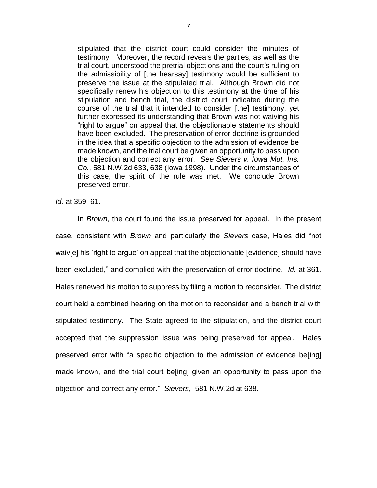stipulated that the district court could consider the minutes of testimony. Moreover, the record reveals the parties, as well as the trial court, understood the pretrial objections and the court's ruling on the admissibility of [the hearsay] testimony would be sufficient to preserve the issue at the stipulated trial. Although Brown did not specifically renew his objection to this testimony at the time of his stipulation and bench trial, the district court indicated during the course of the trial that it intended to consider [the] testimony, yet further expressed its understanding that Brown was not waiving his "right to argue" on appeal that the objectionable statements should have been excluded. The preservation of error doctrine is grounded in the idea that a specific objection to the admission of evidence be made known, and the trial court be given an opportunity to pass upon the objection and correct any error. *See Sievers v. Iowa Mut. Ins. Co.*, 581 N.W.2d 633, 638 (Iowa 1998). Under the circumstances of this case, the spirit of the rule was met. We conclude Brown preserved error.

*Id.* at 359–61.

In *Brown*, the court found the issue preserved for appeal. In the present case, consistent with *Brown* and particularly the *Sievers* case, Hales did "not waiv[e] his 'right to argue' on appeal that the objectionable [evidence] should have been excluded," and complied with the preservation of error doctrine. *Id.* at 361. Hales renewed his motion to suppress by filing a motion to reconsider. The district court held a combined hearing on the motion to reconsider and a bench trial with stipulated testimony. The State agreed to the stipulation, and the district court accepted that the suppression issue was being preserved for appeal. Hales preserved error with "a specific objection to the admission of evidence be[ing] made known, and the trial court be[ing] given an opportunity to pass upon the objection and correct any error." *Sievers*,581 N.W.2d at 638.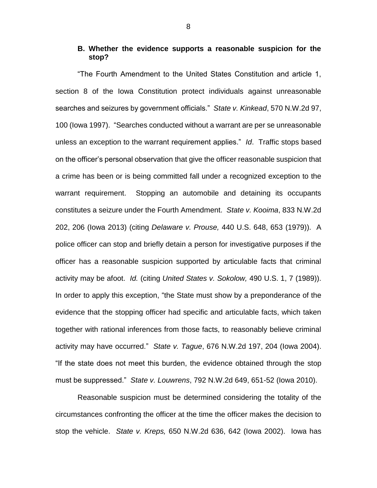# **B. Whether the evidence supports a reasonable suspicion for the stop?**

"The Fourth Amendment to the United States Constitution and article 1, section 8 of the Iowa Constitution protect individuals against unreasonable searches and seizures by government officials." *State v. Kinkead*, 570 N.W.2d 97, 100 (Iowa 1997). "Searches conducted without a warrant are per se unreasonable unless an exception to the warrant requirement applies." *Id*. Traffic stops based on the officer's personal observation that give the officer reasonable suspicion that a crime has been or is being committed fall under a recognized exception to the warrant requirement. Stopping an automobile and detaining its occupants constitutes a seizure under the Fourth Amendment. *State v. Kooima*, 833 N.W.2d 202, 206 (Iowa 2013) (citing *Delaware v. Prouse,* 440 U.S. 648, 653 (1979)). A police officer can stop and briefly detain a person for investigative purposes if the officer has a reasonable suspicion supported by articulable facts that criminal activity may be afoot. *Id.* (citing *United States v. Sokolow,* 490 U.S. 1, 7 (1989)). In order to apply this exception, "the State must show by a preponderance of the evidence that the stopping officer had specific and articulable facts, which taken together with rational inferences from those facts, to reasonably believe criminal activity may have occurred." *State v. Tague*, 676 N.W.2d 197, 204 (Iowa 2004). "If the state does not meet this burden, the evidence obtained through the stop must be suppressed." *State v. Louwrens*, 792 N.W.2d 649, 651-52 (Iowa 2010).

Reasonable suspicion must be determined considering the totality of the circumstances confronting the officer at the time the officer makes the decision to stop the vehicle. *State v. Kreps,* 650 N.W.2d 636, 642 (Iowa 2002). Iowa has